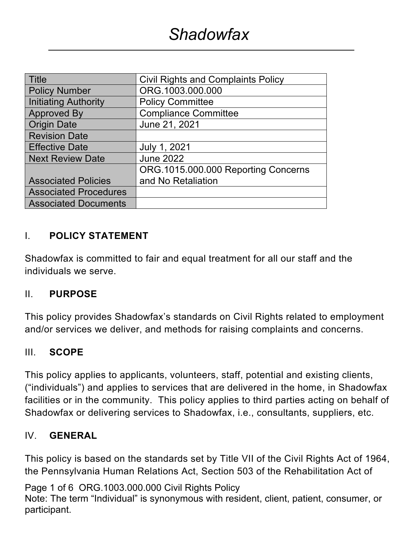| <b>Title</b>                 | <b>Civil Rights and Complaints Policy</b> |  |  |
|------------------------------|-------------------------------------------|--|--|
| <b>Policy Number</b>         | ORG.1003.000.000                          |  |  |
| <b>Initiating Authority</b>  | <b>Policy Committee</b>                   |  |  |
| <b>Approved By</b>           | <b>Compliance Committee</b>               |  |  |
| <b>Origin Date</b>           | June 21, 2021                             |  |  |
| <b>Revision Date</b>         |                                           |  |  |
| <b>Effective Date</b>        | July 1, 2021                              |  |  |
| <b>Next Review Date</b>      | <b>June 2022</b>                          |  |  |
|                              | ORG.1015.000.000 Reporting Concerns       |  |  |
| <b>Associated Policies</b>   | and No Retaliation                        |  |  |
| <b>Associated Procedures</b> |                                           |  |  |
| <b>Associated Documents</b>  |                                           |  |  |

### I. **POLICY STATEMENT**

Shadowfax is committed to fair and equal treatment for all our staff and the individuals we serve.

### II. **PURPOSE**

This policy provides Shadowfax's standards on Civil Rights related to employment and/or services we deliver, and methods for raising complaints and concerns.

### III. **SCOPE**

This policy applies to applicants, volunteers, staff, potential and existing clients, ("individuals") and applies to services that are delivered in the home, in Shadowfax facilities or in the community. This policy applies to third parties acting on behalf of Shadowfax or delivering services to Shadowfax, i.e., consultants, suppliers, etc.

### IV. **GENERAL**

This policy is based on the standards set by Title VII of the Civil Rights Act of 1964, the Pennsylvania Human Relations Act, Section 503 of the Rehabilitation Act of

Page 1 of 6 ORG.1003.000.000 Civil Rights Policy Note: The term "Individual" is synonymous with resident, client, patient, consumer, or participant.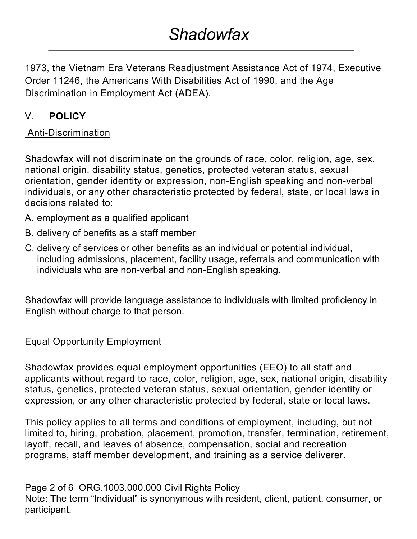1973, the Vietnam Era Veterans Readjustment Assistance Act of 1974, Executive Order 11246, the Americans With Disabilities Act of 1990, and the Age Discrimination in Employment Act (ADEA).

# V. **POLICY**

## Anti-Discrimination

Shadowfax will not discriminate on the grounds of race, color, religion, age, sex, national origin, disability status, genetics, protected veteran status, sexual orientation, gender identity or expression, non-English speaking and non-verbal individuals, or any other characteristic protected by federal, state, or local laws in decisions related to:

- A. employment as a qualified applicant
- B. delivery of benefits as a staff member
- C. delivery of services or other benefits as an individual or potential individual, including admissions, placement, facility usage, referrals and communication with individuals who are non-verbal and non-English speaking.

Shadowfax will provide language assistance to individuals with limited proficiency in English without charge to that person.

# Equal Opportunity Employment

Shadowfax provides equal employment opportunities (EEO) to all staff and applicants without regard to race, color, religion, age, sex, national origin, disability status, genetics, protected veteran status, sexual orientation, gender identity or expression, or any other characteristic protected by federal, state or local laws.

This policy applies to all terms and conditions of employment, including, but not limited to, hiring, probation, placement, promotion, transfer, termination, retirement, layoff, recall, and leaves of absence, compensation, social and recreation programs, staff member development, and training as a service deliverer.

Page 2 of 6 ORG.1003.000.000 Civil Rights Policy Note: The term "Individual" is synonymous with resident, client, patient, consumer, or participant.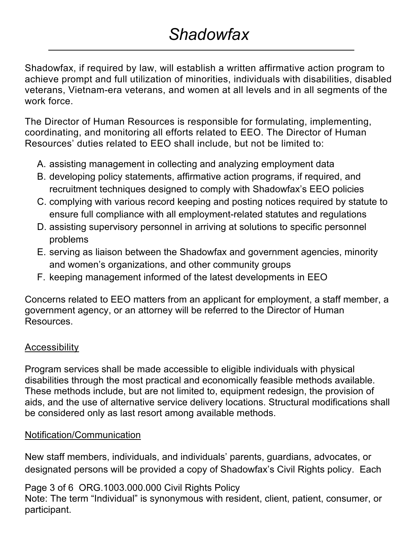Shadowfax, if required by law, will establish a written affirmative action program to achieve prompt and full utilization of minorities, individuals with disabilities, disabled veterans, Vietnam-era veterans, and women at all levels and in all segments of the work force.

The Director of Human Resources is responsible for formulating, implementing, coordinating, and monitoring all efforts related to EEO. The Director of Human Resources' duties related to EEO shall include, but not be limited to:

- A. assisting management in collecting and analyzing employment data
- B. developing policy statements, affirmative action programs, if required, and recruitment techniques designed to comply with Shadowfax's EEO policies
- C. complying with various record keeping and posting notices required by statute to ensure full compliance with all employment-related statutes and regulations
- D. assisting supervisory personnel in arriving at solutions to specific personnel problems
- E. serving as liaison between the Shadowfax and government agencies, minority and women's organizations, and other community groups
- F. keeping management informed of the latest developments in EEO

Concerns related to EEO matters from an applicant for employment, a staff member, a government agency, or an attorney will be referred to the Director of Human Resources.

## **Accessibility**

Program services shall be made accessible to eligible individuals with physical disabilities through the most practical and economically feasible methods available. These methods include, but are not limited to, equipment redesign, the provision of aids, and the use of alternative service delivery locations. Structural modifications shall be considered only as last resort among available methods.

## Notification/Communication

New staff members, individuals, and individuals' parents, guardians, advocates, or designated persons will be provided a copy of Shadowfax's Civil Rights policy. Each

Page 3 of 6 ORG.1003.000.000 Civil Rights Policy

Note: The term "Individual" is synonymous with resident, client, patient, consumer, or participant.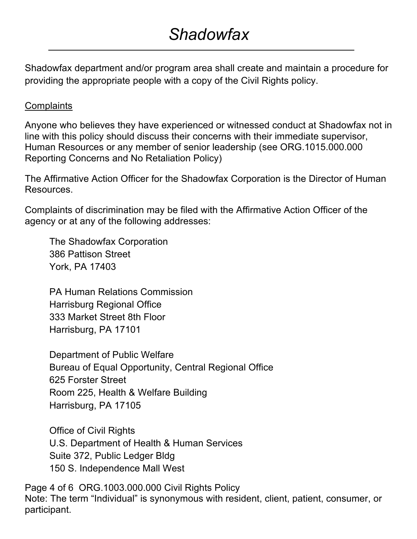# *Shadowfax*

Shadowfax department and/or program area shall create and maintain a procedure for providing the appropriate people with a copy of the Civil Rights policy.

#### **Complaints**

Anyone who believes they have experienced or witnessed conduct at Shadowfax not in line with this policy should discuss their concerns with their immediate supervisor, Human Resources or any member of senior leadership (see ORG.1015.000.000 Reporting Concerns and No Retaliation Policy)

The Affirmative Action Officer for the Shadowfax Corporation is the Director of Human Resources.

Complaints of discrimination may be filed with the Affirmative Action Officer of the agency or at any of the following addresses:

The Shadowfax Corporation 386 Pattison Street York, PA 17403

PA Human Relations Commission Harrisburg Regional Office 333 Market Street 8th Floor Harrisburg, PA 17101

Department of Public Welfare Bureau of Equal Opportunity, Central Regional Office 625 Forster Street Room 225, Health & Welfare Building Harrisburg, PA 17105

Office of Civil Rights U.S. Department of Health & Human Services Suite 372, Public Ledger Bldg 150 S. Independence Mall West

Page 4 of 6 ORG.1003.000.000 Civil Rights Policy Note: The term "Individual" is synonymous with resident, client, patient, consumer, or participant.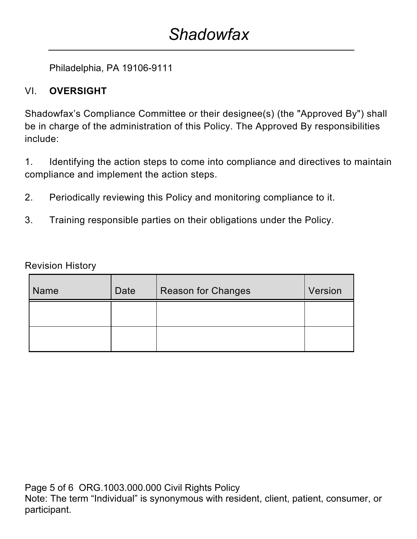# *Shadowfax*

Philadelphia, PA 19106-9111

## VI. **OVERSIGHT**

Shadowfax's Compliance Committee or their designee(s) (the "Approved By") shall be in charge of the administration of this Policy. The Approved By responsibilities include:

1. Identifying the action steps to come into compliance and directives to maintain compliance and implement the action steps.

- 2. Periodically reviewing this Policy and monitoring compliance to it.
- 3. Training responsible parties on their obligations under the Policy.

Revision History

| Name | Date | <b>Reason for Changes</b> | Version |
|------|------|---------------------------|---------|
|      |      |                           |         |
|      |      |                           |         |

Page 5 of 6 ORG.1003.000.000 Civil Rights Policy Note: The term "Individual" is synonymous with resident, client, patient, consumer, or participant.